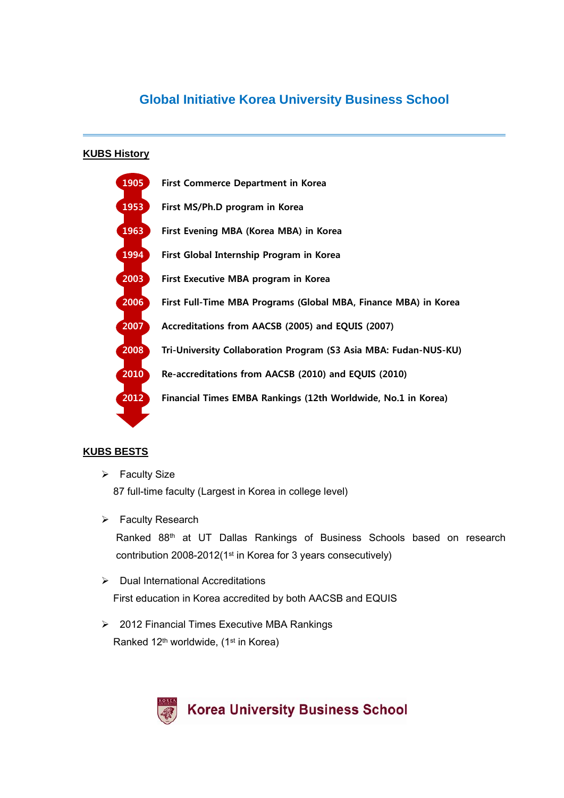# **Global Initiative Korea University Business School**

### **KUBS History**



### **KUBS BESTS**

- $\triangleright$  Faculty Size 87 full-time faculty (Largest in Korea in college level)
- **▶** Faculty Research Ranked 88th at UT Dallas Rankings of Business Schools based on research contribution 2008-2012(1st in Korea for 3 years consecutively)
- $\triangleright$  Dual International Accreditations First education in Korea accredited by both AACSB and EQUIS
- 2012 Financial Times Executive MBA Rankings Ranked 12<sup>th</sup> worldwide, (1<sup>st</sup> in Korea)

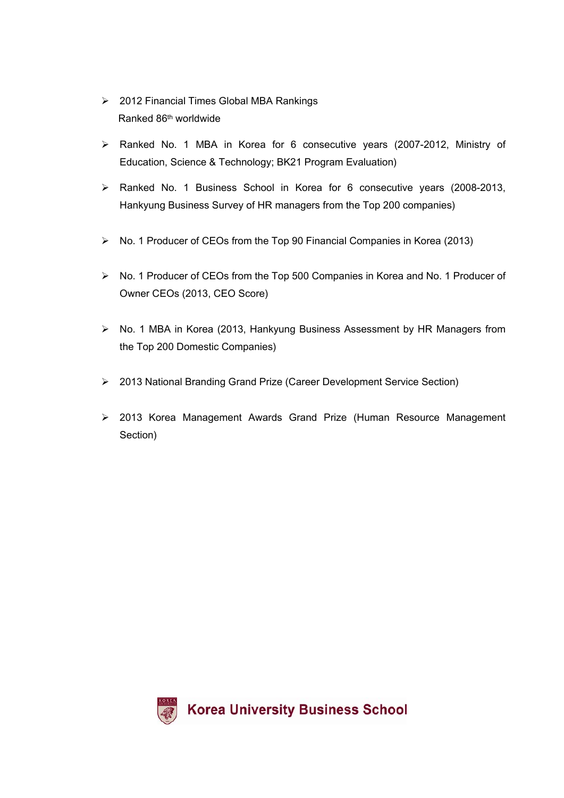- 2012 Financial Times Global MBA Rankings Ranked 86th worldwide
- Ranked No. 1 MBA in Korea for 6 consecutive years (2007-2012, Ministry of Education, Science & Technology; BK21 Program Evaluation)
- Ranked No. 1 Business School in Korea for 6 consecutive years (2008-2013, Hankyung Business Survey of HR managers from the Top 200 companies)
- No. 1 Producer of CEOs from the Top 90 Financial Companies in Korea (2013)
- $\triangleright$  No. 1 Producer of CEOs from the Top 500 Companies in Korea and No. 1 Producer of Owner CEOs (2013, CEO Score)
- ▶ No. 1 MBA in Korea (2013, Hankyung Business Assessment by HR Managers from the Top 200 Domestic Companies)
- 2013 National Branding Grand Prize (Career Development Service Section)
- 2013 Korea Management Awards Grand Prize (Human Resource Management Section)

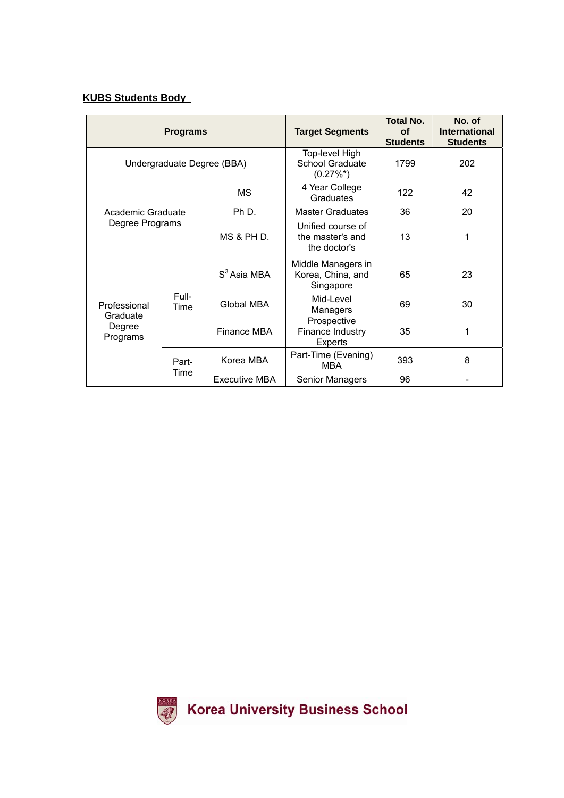## **KUBS Students Body**

| <b>Programs</b>                                |               |                   | <b>Target Segments</b>                                   | <b>Total No.</b><br><b>of</b><br><b>Students</b> | No. of<br><b>International</b><br><b>Students</b> |
|------------------------------------------------|---------------|-------------------|----------------------------------------------------------|--------------------------------------------------|---------------------------------------------------|
| Undergraduate Degree (BBA)                     |               |                   | Top-level High<br><b>School Graduate</b><br>$(0.27\%^*)$ | 1799                                             | 202                                               |
| Academic Graduate<br>Degree Programs           |               | <b>MS</b>         | 4 Year College<br>122<br>Graduates                       |                                                  | 42                                                |
|                                                |               | Ph D.             | <b>Master Graduates</b>                                  | 36                                               | 20                                                |
|                                                |               | MS & PH D.        | Unified course of<br>the master's and<br>the doctor's    | 13                                               | 1                                                 |
| Professional<br>Graduate<br>Degree<br>Programs | Full-<br>Time | $S3$ Asia MBA     | Middle Managers in<br>Korea, China, and<br>Singapore     | 65                                               | 23                                                |
|                                                |               | <b>Global MBA</b> | Mid-Level<br>Managers                                    | 69                                               | 30                                                |
|                                                |               | Finance MBA       | Prospective<br>Finance Industry<br><b>Experts</b>        | 35                                               | 1                                                 |
|                                                | Part-<br>Time | Korea MBA         | Part-Time (Evening)<br><b>MBA</b>                        | 393                                              | 8                                                 |
|                                                |               | Executive MBA     | Senior Managers                                          | 96                                               |                                                   |

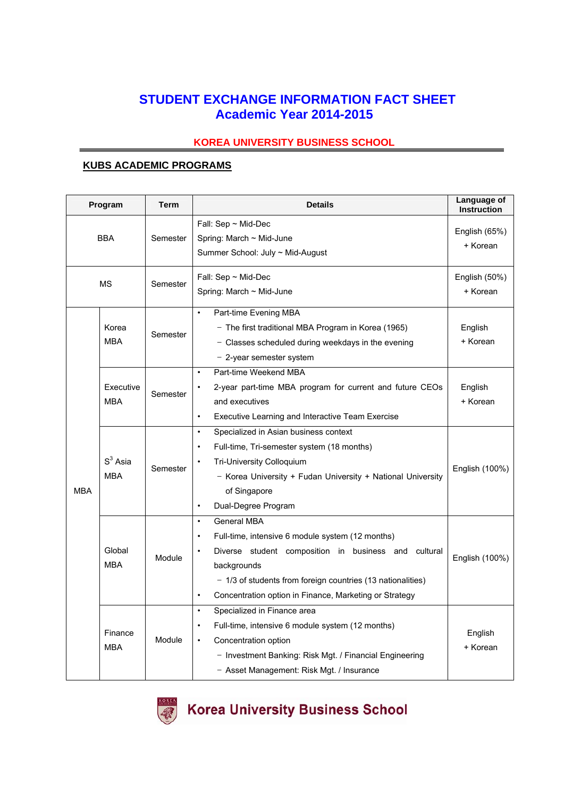# **STUDENT EXCHANGE INFORMATION FACT SHEET Academic Year 2014-2015**

### **KOREA UNIVERSITY BUSINESS SCHOOL**

### **KUBS ACADEMIC PROGRAMS**

|                                                                  | Program               | <b>Term</b>                                                                                                                                                                       | <b>Details</b>                                                                                                                                                                                                                                                                                   | Language of<br>Instruction |
|------------------------------------------------------------------|-----------------------|-----------------------------------------------------------------------------------------------------------------------------------------------------------------------------------|--------------------------------------------------------------------------------------------------------------------------------------------------------------------------------------------------------------------------------------------------------------------------------------------------|----------------------------|
|                                                                  | <b>BBA</b>            | Semester                                                                                                                                                                          | Fall: $Sep ~ Mid-Dec$<br>Spring: March $\sim$ Mid-June<br>Summer School: July ~ Mid-August                                                                                                                                                                                                       | English (65%)<br>+ Korean  |
|                                                                  | <b>MS</b>             | Semester                                                                                                                                                                          | Fall: Sep ~ Mid-Dec<br>Spring: March ~ Mid-June                                                                                                                                                                                                                                                  | English (50%)<br>+ Korean  |
|                                                                  | Korea<br><b>MBA</b>   | Semester                                                                                                                                                                          | $\bullet$<br>Part-time Evening MBA<br>- The first traditional MBA Program in Korea (1965)<br>- Classes scheduled during weekdays in the evening<br>- 2-year semester system                                                                                                                      | English<br>+ Korean        |
| Executive<br><b>MBA</b><br>$S3$ Asia<br><b>MBA</b><br><b>MBA</b> | Semester              | Part-time Weekend MBA<br>$\bullet$<br>2-year part-time MBA program for current and future CEOs<br>and executives<br>$\bullet$<br>Executive Learning and Interactive Team Exercise | English<br>+ Korean                                                                                                                                                                                                                                                                              |                            |
|                                                                  | Semester              |                                                                                                                                                                                   | Specialized in Asian business context<br>$\bullet$<br>Full-time, Tri-semester system (18 months)<br>$\bullet$<br>Tri-University Colloquium<br>$\bullet$<br>- Korea University + Fudan University + National University<br>of Singapore<br>Dual-Degree Program<br>$\bullet$                       | English (100%)             |
|                                                                  | Global<br><b>MBA</b>  | Module                                                                                                                                                                            | <b>General MBA</b><br>$\bullet$<br>Full-time, intensive 6 module system (12 months)<br>Diverse student composition in business and cultural<br>backgrounds<br>- 1/3 of students from foreign countries (13 nationalities)<br>Concentration option in Finance, Marketing or Strategy<br>$\bullet$ |                            |
|                                                                  | Finance<br><b>MBA</b> | Module                                                                                                                                                                            | Specialized in Finance area<br>$\bullet$<br>Full-time, intensive 6 module system (12 months)<br>$\bullet$<br>Concentration option<br>$\bullet$<br>- Investment Banking: Risk Mgt. / Financial Engineering<br>- Asset Management: Risk Mgt. / Insurance                                           | English<br>+ Korean        |

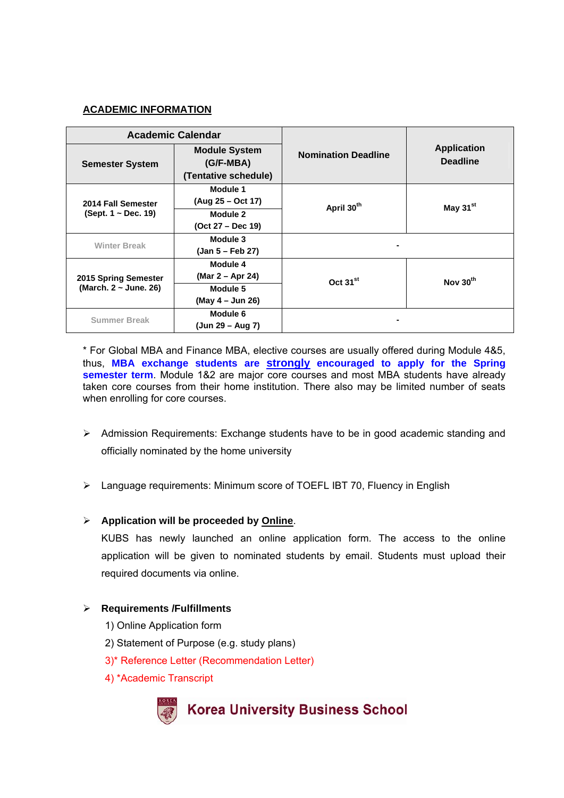### **ACADEMIC INFORMATION**

| <b>Academic Calendar</b>                       |                                   |                            |                                       |  |
|------------------------------------------------|-----------------------------------|----------------------------|---------------------------------------|--|
| <b>Semester System</b>                         | <b>Module System</b><br>(G/F-MBA) | <b>Nomination Deadline</b> | <b>Application</b><br><b>Deadline</b> |  |
|                                                | (Tentative schedule)              |                            |                                       |  |
| 2014 Fall Semester<br>(Sept. $1 \sim$ Dec. 19) | Module 1                          |                            |                                       |  |
|                                                | (Aug 25 – Oct 17)                 | April 30th                 | May 31 <sup>st</sup>                  |  |
|                                                | Module 2                          |                            |                                       |  |
|                                                | $(Oct 27 - Dec 19)$               |                            |                                       |  |
| <b>Winter Break</b>                            | Module 3                          |                            |                                       |  |
|                                                | (Jan 5 – Feb 27)                  |                            |                                       |  |
| 2015 Spring Semester<br>(March. 2 ~ June. 26)  | Module 4                          |                            |                                       |  |
|                                                | (Mar 2 – Apr 24)                  | Oct 31 <sup>st</sup>       | Nov 30 <sup>th</sup>                  |  |
|                                                | Module 5                          |                            |                                       |  |
|                                                | (May 4 – Jun 26)                  |                            |                                       |  |
| <b>Summer Break</b>                            | Module 6                          |                            |                                       |  |
|                                                | (Jun 29 – Aug 7)                  |                            |                                       |  |

\* For Global MBA and Finance MBA, elective courses are usually offered during Module 4&5, thus, **MBA exchange students are strongly encouraged to apply for the Spring semester term**. Module 1&2 are major core courses and most MBA students have already taken core courses from their home institution. There also may be limited number of seats when enrolling for core courses.

- $\triangleright$  Admission Requirements: Exchange students have to be in good academic standing and officially nominated by the home university
- Language requirements: Minimum score of TOEFL IBT 70, Fluency in English

### **Application will be proceeded by Online**.

KUBS has newly launched an online application form. The access to the online application will be given to nominated students by email. Students must upload their required documents via online.

#### **Requirements /Fulfillments**

- 1) Online Application form
- 2) Statement of Purpose (e.g. study plans)
- 3)\* Reference Letter (Recommendation Letter)
- 4) \*Academic Transcript

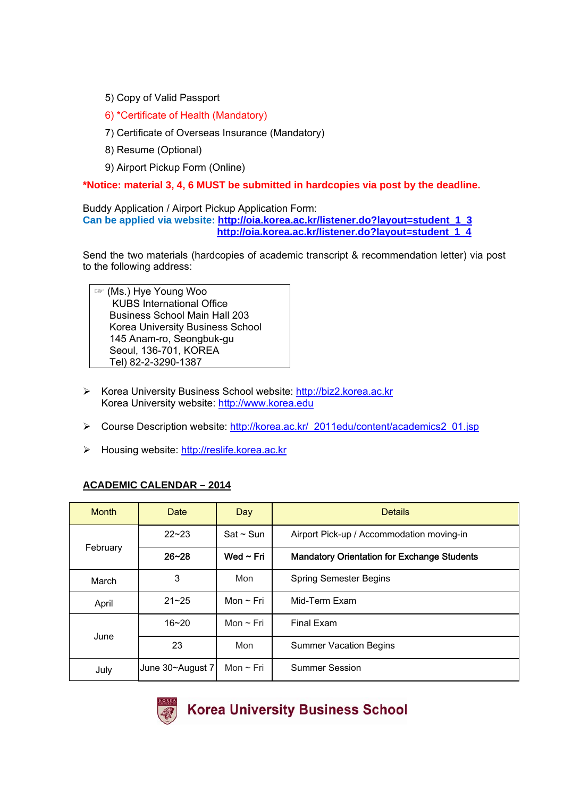- 5) Copy of Valid Passport
- 6) \*Certificate of Health (Mandatory)
- 7) Certificate of Overseas Insurance (Mandatory)
- 8) Resume (Optional)
- 9) Airport Pickup Form (Online)

**\*Notice: material 3, 4, 6 MUST be submitted in hardcopies via post by the deadline.** 

Buddy Application / Airport Pickup Application Form: **Can be applied via website: http://oia.korea.ac.kr/listener.do?layout=student\_1\_3 http://oia.korea.ac.kr/listener.do?layout=student\_1\_4** 

Send the two materials (hardcopies of academic transcript & recommendation letter) via post to the following address:

☞ (Ms.) Hye Young Woo KUBS International Office Business School Main Hall 203 Korea University Business School 145 Anam-ro, Seongbuk-gu Seoul, 136-701, KOREA Tel) 82-2-3290-1387

- Korea University Business School website: http://biz2.korea.ac.kr Korea University website: http://www.korea.edu
- Course Description website: http://korea.ac.kr/\_2011edu/content/academics2\_01.jsp
- Housing website: http://reslife.korea.ac.kr

#### **ACADEMIC CALENDAR – 2014**

| <b>Month</b> | Date             | Day            | <b>Details</b>                                     |  |
|--------------|------------------|----------------|----------------------------------------------------|--|
| February     | $22 - 23$        | $Sat - Sun$    | Airport Pick-up / Accommodation moving-in          |  |
|              | $26 - 28$        | Wed $\sim$ Fri | <b>Mandatory Orientation for Exchange Students</b> |  |
| March        | 3                | Mon            | <b>Spring Semester Begins</b>                      |  |
| April        | $21 - 25$        | Mon $\sim$ Fri | Mid-Term Exam                                      |  |
|              | $16 - 20$        | Mon $\sim$ Fri | <b>Final Exam</b>                                  |  |
| June         | 23               | Mon            | <b>Summer Vacation Begins</b>                      |  |
| July         | June 30~August 7 | Mon $\sim$ Fri | <b>Summer Session</b>                              |  |

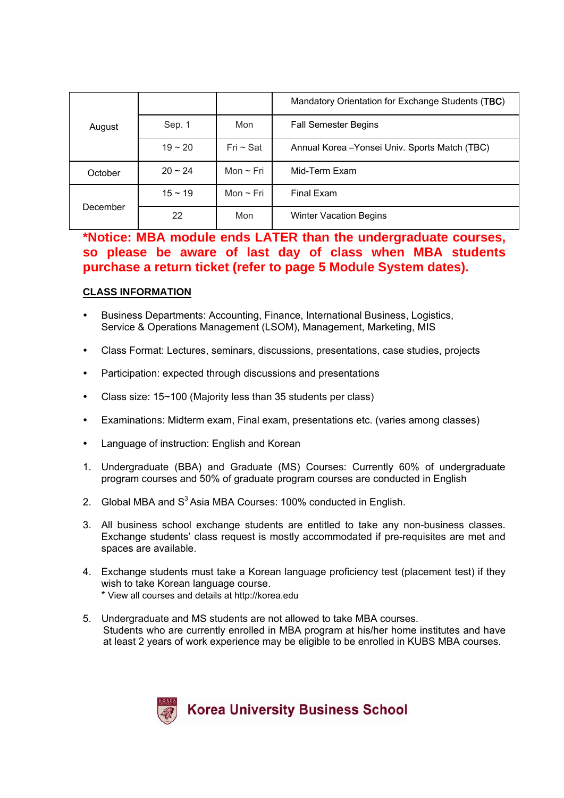|          |           |                | Mandatory Orientation for Exchange Students (TBC) |
|----------|-----------|----------------|---------------------------------------------------|
| August   | Sep. 1    | Mon            | <b>Fall Semester Begins</b>                       |
|          | $19 - 20$ | $Fri \sim Sat$ | Annual Korea - Yonsei Univ. Sports Match (TBC)    |
| October  | $20 - 24$ | Mon $\sim$ Fri | Mid-Term Exam                                     |
|          | $15 - 19$ | Mon $\sim$ Fri | Final Exam                                        |
| December | 22        | Mon            | <b>Winter Vacation Begins</b>                     |

# **\*Notice: MBA module ends LATER than the undergraduate courses, so please be aware of last day of class when MBA students purchase a return ticket (refer to page 5 Module System dates).**

### **CLASS INFORMATION**

- Business Departments: Accounting, Finance, International Business, Logistics, Service & Operations Management (LSOM), Management, Marketing, MIS
- Class Format: Lectures, seminars, discussions, presentations, case studies, projects
- Participation: expected through discussions and presentations
- Class size: 15~100 (Majority less than 35 students per class)
- Examinations: Midterm exam, Final exam, presentations etc. (varies among classes)
- Language of instruction: English and Korean
- 1. Undergraduate (BBA) and Graduate (MS) Courses: Currently 60% of undergraduate program courses and 50% of graduate program courses are conducted in English
- 2. Global MBA and  $S<sup>3</sup>$  Asia MBA Courses: 100% conducted in English.
- 3. All business school exchange students are entitled to take any non-business classes. Exchange students' class request is mostly accommodated if pre-requisites are met and spaces are available.
- 4. Exchange students must take a Korean language proficiency test (placement test) if they wish to take Korean language course.
	- \* View all courses and details at http://korea.edu
- 5. Undergraduate and MS students are not allowed to take MBA courses. Students who are currently enrolled in MBA program at his/her home institutes and have at least 2 years of work experience may be eligible to be enrolled in KUBS MBA courses.

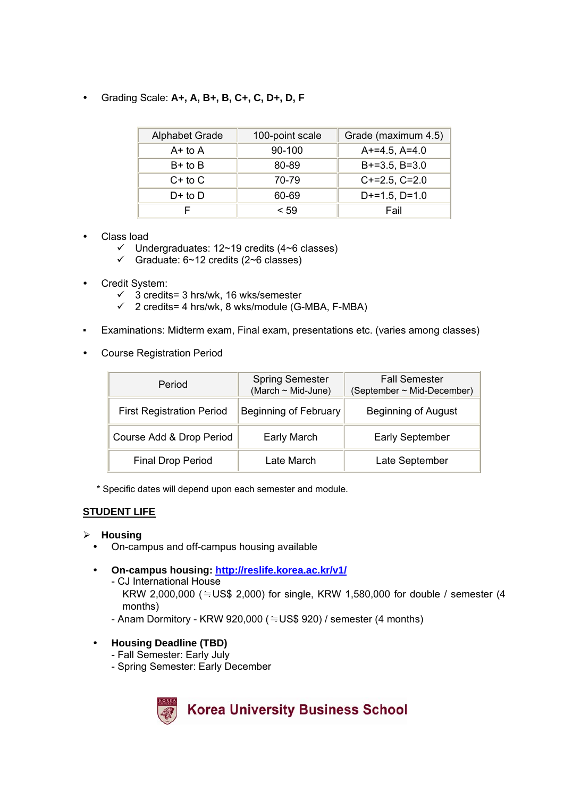Grading Scale: **A+, A, B+, B, C+, C, D+, D, F** 

| <b>Alphabet Grade</b> | 100-point scale | Grade (maximum 4.5) |
|-----------------------|-----------------|---------------------|
| $A+$ to $A$           | $90-100$        | $A+=4.5, A=4.0$     |
| $B+$ to $B$           | 80-89           | $B+=3.5, B=3.0$     |
| $C+$ to $C$           | 70-79           | $C+=2.5, C=2.0$     |
| $D+$ to $D$           | 60-69           | $D+=1.5$ , $D=1.0$  |
|                       | < 59            | Fail                |

- Class load
	- $\checkmark$  Undergraduates: 12~19 credits (4~6 classes)
	- $\checkmark$  Graduate: 6~12 credits (2~6 classes)
- Credit System:
	- $\checkmark$  3 credits= 3 hrs/wk, 16 wks/semester
	- $\checkmark$  2 credits= 4 hrs/wk, 8 wks/module (G-MBA, F-MBA)
- Examinations: Midterm exam, Final exam, presentations etc. (varies among classes)
- Course Registration Period

| Period                           | <b>Spring Semester</b><br>(March ~ Mid-June) | <b>Fall Semester</b><br>(September ~ Mid-December) |
|----------------------------------|----------------------------------------------|----------------------------------------------------|
| <b>First Registration Period</b> | <b>Beginning of February</b>                 | <b>Beginning of August</b>                         |
| Course Add & Drop Period         | <b>Early March</b>                           | <b>Early September</b>                             |
| <b>Final Drop Period</b>         | Late March                                   | Late September                                     |

\* Specific dates will depend upon each semester and module.

#### **STUDENT LIFE**

#### **Housing**

- On-campus and off-campus housing available
- **On-campus housing: http://reslife.korea.ac.kr/v1/**
	- CJ International House KRW 2,000,000 (≒US\$ 2,000) for single, KRW 1,580,000 for double / semester (4 months)
	- $-$  Anam Dormitory KRW 920,000 ( $=$  US\$ 920) / semester (4 months)
- **Housing Deadline (TBD)**
	- Fall Semester: Early July
	- Spring Semester: Early December

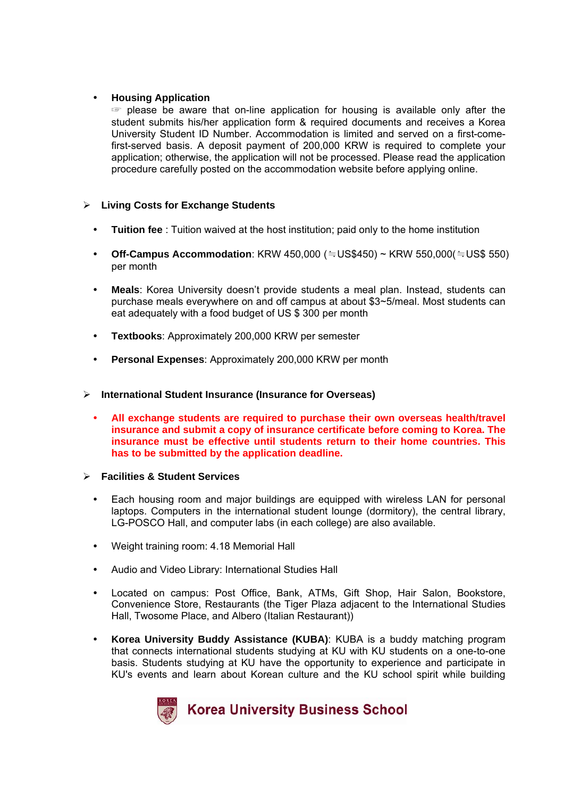#### **Housing Application**

☞ please be aware that on-line application for housing is available only after the student submits his/her application form & required documents and receives a Korea University Student ID Number. Accommodation is limited and served on a first-comefirst-served basis. A deposit payment of 200,000 KRW is required to complete your application; otherwise, the application will not be processed. Please read the application procedure carefully posted on the accommodation website before applying online.

### **Living Costs for Exchange Students**

- **Tuition fee** : Tuition waived at the host institution; paid only to the home institution
- **Off-Campus Accommodation**: KRW 450,000 (≒US\$450) ~ KRW 550,000(≒US\$ 550) per month
- **Meals**: Korea University doesn't provide students a meal plan. Instead, students can purchase meals everywhere on and off campus at about \$3~5/meal. Most students can eat adequately with a food budget of US \$ 300 per month
- **Textbooks**: Approximately 200,000 KRW per semester
- **Personal Expenses**: Approximately 200,000 KRW per month

#### **International Student Insurance (Insurance for Overseas)**

- **All exchange students are required to purchase their own overseas health/travel insurance and submit a copy of insurance certificate before coming to Korea. The insurance must be effective until students return to their home countries. This has to be submitted by the application deadline.**
- **Facilities & Student Services** 
	- Each housing room and major buildings are equipped with wireless LAN for personal laptops. Computers in the international student lounge (dormitory), the central library, LG-POSCO Hall, and computer labs (in each college) are also available.
	- Weight training room: 4.18 Memorial Hall
	- Audio and Video Library: International Studies Hall
	- Located on campus: Post Office, Bank, ATMs, Gift Shop, Hair Salon, Bookstore, Convenience Store, Restaurants (the Tiger Plaza adjacent to the International Studies Hall, Twosome Place, and Albero (Italian Restaurant))
	- **Korea University Buddy Assistance (KUBA)**: KUBA is a buddy matching program that connects international students studying at KU with KU students on a one-to-one basis. Students studying at KU have the opportunity to experience and participate in KU's events and learn about Korean culture and the KU school spirit while building